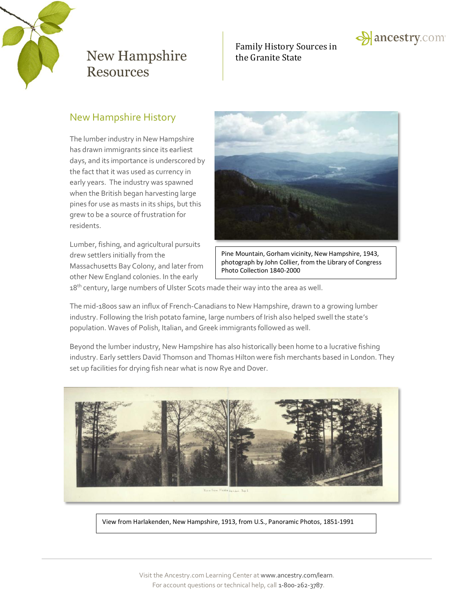

# Family History Sources in



### New Hampshire History

The lumber industry in New Hampshire has drawn immigrants since its earliest days, and its importance is underscored by the fact that it was used as currency in early years. The industry was spawned when the British began harvesting large pines for use as masts in its ships, but this grew to be a source of frustration for residents.

Lumber, fishing, and agricultural pursuits drew settlers initially from the Massachusetts Bay Colony, and later from other New England colonies. In the early



Pine Mountain, Gorham vicinity, New Hampshire, 1943, photograph by John Collier, from the Library of Congress Photo Collection 1840-2000

18<sup>th</sup> century, large numbers of Ulster Scots made their way into the area as well.

The mid-1800s saw an influx of French-Canadians to New Hampshire, drawn to a growing lumber industry. Following the Irish potato famine, large numbers of Irish also helped swell the state's population. Waves of Polish, Italian, and Greek immigrants followed as well.

Beyond the lumber industry, New Hampshire has also historically been home to a lucrative fishing industry. Early settlers David Thomson and Thomas Hilton were fish merchants based in London. They set up facilities for drying fish near what is now Rye and Dover.



View from Harlakenden, New Hampshire, 1913, from U.S., Panoramic Photos, 1851-1991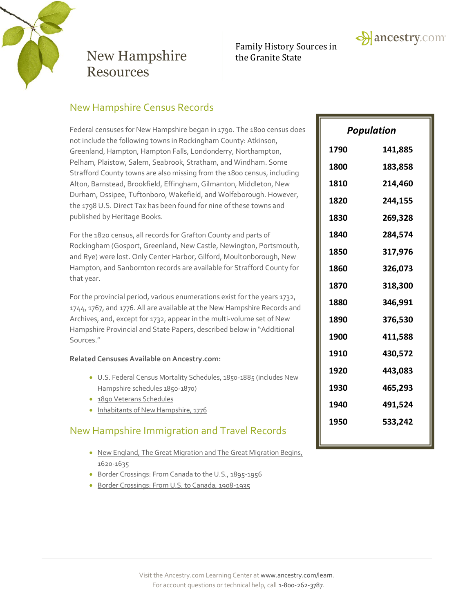

# Family History Sources in



### New Hampshire Census Records

Federal censuses for New Hampshire began in 1790. The 1800 census does not include the following towns in Rockingham County: Atkinson, Greenland, Hampton, Hampton Falls, Londonderry, Northampton, Pelham, Plaistow, Salem, Seabrook, Stratham, and Windham. Some Strafford County towns are also missing from the 1800 census, including Alton, Barnstead, Brookfield, Effingham, Gilmanton, Middleton, New Durham, Ossipee, Tuftonboro, Wakefield, and Wolfeborough. However, the 1798 U.S. Direct Tax has been found for nine of these towns and published by Heritage Books.

For the 1820 census, all records for Grafton County and parts of Rockingham (Gosport, Greenland, New Castle, Newington, Portsmouth, and Rye) were lost. Only Center Harbor, Gilford, Moultonborough, New Hampton, and Sanbornton records are available for Strafford County for that year.

For the provincial period, various enumerations exist for the years 1732, 1744, 1767, and 1776. All are available at the New Hampshire Records and Archives, and, except for 1732, appear in the multi-volume set of New Hampshire Provincial and State Papers, described below in "Additional Sources."

#### **Related Censuses Available on Ancestry.com:**

- [U.S. Federal Census Mortality Schedules, 1850-1885](http://search.ancestry.com/search/db.aspx?dbid=8756) (includes New Hampshire schedules 1850-1870)
- [1890 Veterans Schedules](http://search.ancestry.com/search/db.aspx?dbid=8667)
- Inhabitants of New Hampshire, 1776

## New Hampshire Immigration and Travel Records

- New England, The Great Migration and The Great Migration Begins, [1620-1635](http://search.ancestry.com/search/db.aspx?dbid=2496)
- **[Border Crossings: From Canada to the U.S., 1895-1956](http://search.ancestry.com/search/db.aspx?dbid=1075)**
- [Border Crossings: From U.S. to Canada, 1908-1935](http://search.ancestry.com/search/db.aspx?dbid=1344)

| Population |         |
|------------|---------|
| 1790       | 141,885 |
| 1800       | 183,858 |
| 1810       | 214,460 |
| 1820       | 244,155 |
| 1830       | 269,328 |
| 1840       | 284,574 |
| 1850       | 317,976 |
| 1860       | 326,073 |
| 1870       | 318,300 |
| 1880       | 346,991 |
| 1890       | 376,530 |
| 1900       | 411,588 |
| 1910       | 430,572 |
| 1920       | 443,083 |
| 1930       | 465,293 |
| 1940       | 491,524 |
| 1950       | 533,242 |
|            |         |

**A** ancestry.com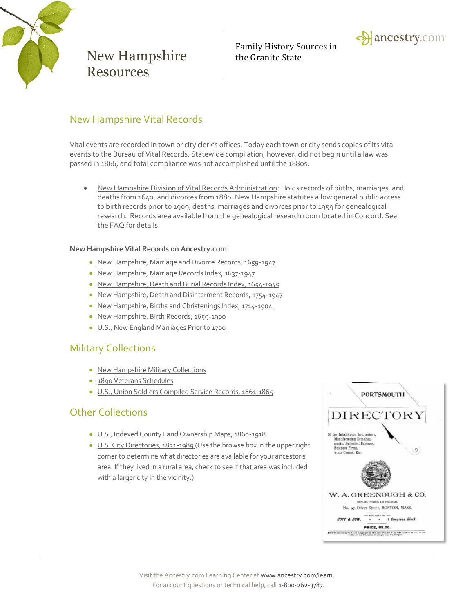

Family History Sources in



### New Hampshire Vital Records

Vital events are recorded in town or city clerk's offices. Today each town or city sends copies of its vital events to the Bureau of Vital Records. Statewide compilation, however, did not begin until a law was passed in 1866, and total compliance was not accomplished until the 1880s.

 New Hampshire [Division of Vital Records Administration:](http://sos.nh.gov/vital_records.aspx) Holds records of births, marriages, and deaths from 1640, and divorces from 1880. New Hampshire statutes allow general public access to birth records prior to 1909; deaths, marriages and divorces prior to 1959 for genealogical research. Records area available from the genealogical research room located in Concord. See the FAQ for details.

#### **New Hampshire Vital Records on Ancestry.com**

- New Hampshire, [Marriage and Divorce Records, 1659-1947](http://search.ancestry.com/search/db.aspx?dbid=5241)
- [New Hampshire, Marriage Records Index, 1637-1947](http://search.ancestry.com/search/db.aspx?dbid=2554)
- [New Hampshire, Death and Burial Records Index, 1654-1949](http://search.ancestry.com/search/db.aspx?dbid=2555)
- [New Hampshire, Death and Disinterment Records, 1754-1947](http://search.ancestry.com/search/db.aspx?dbid=5242)
- [New Hampshire, Births and Christenings Index, 1714-1904](http://search.ancestry.com/search/db.aspx?dbid=2559)
- [New Hampshire, Birth Records, 1659-1900](http://search.ancestry.com/search/db.aspx?dbid=4582)
- U.S., New [England Marriages Prior to 1700](http://search.ancestry.com/search/db.aspx?dbid=3824)

### Military Collections

- [New Hampshire Military Collections](http://search.ancestry.com/Places/US/New-Hampshire/Default.aspx?category=39)
- [1890 Veterans Schedules](http://search.ancestry.com/search/db.aspx?dbid=8667)
- [U.S., Union Soldiers Compiled Service Records, 1861-1865](http://search.ancestry.com/search/db.aspx?dbid=2344)

## Other Collections

- [U.S., Indexed County Land Ownership Maps, 1860-1918](http://search.ancestry.com/search/db.aspx?dbid=1127)
- [U.S. City Directories, 1821-1989](http://search.ancestry.com/search/db.aspx?dbid=2469) (Use the browse box in the upper right corner to determine what directories are available for your ancestor's area. If they lived in a rural area, check to see if that area was included with a larger city in the vicinity.)

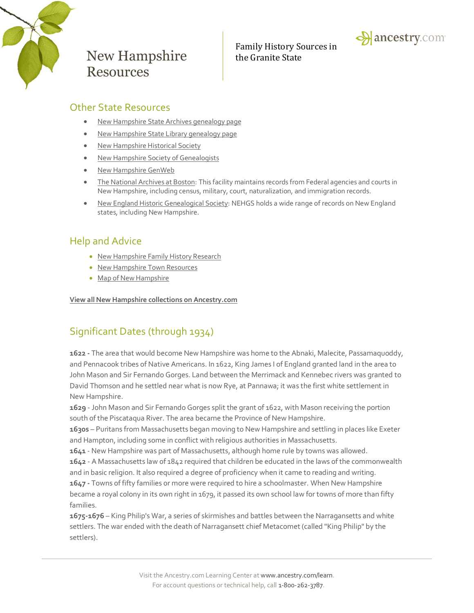

Family History Sources in



### Other State Resources

- [New Hampshire State Archives genealogy page](http://sos.nh.gov/arch_rec_mgmt.aspx)
- [New Hampshire State Library genealogy page](http://www.nh.gov/nhsl/services/public/genealogy.html)
- [New Hampshire Historical Society](http://www.nhhistory.org/)
- [New Hampshire Society of Genealogists](http://nhsog.org/)
- [New Hampshire GenWeb](http://www.usroots.com/usgwnhus/)
- [The National Archives at Boston:](http://www.archives.gov/boston/) This facility maintains records from Federal agencies and courts in New Hampshire, including census, military, court, naturalization, and immigration records.
- [New England Historic Genealogical Society:](http://www.americanancestors.org/home.html) NEHGS holds a wide range of records on New England states, including New Hampshire.

### Help and Advice

- New Hampshire [Family History Research](http://www.ancestry.com/wiki/index.php?title=History_of_New_Hampshire)
- [New Hampshire](http://www.ancestry.com/wiki/index.php?title=New_Hampshire_Town_Resources) Town Resources
- [Map of New Hampshire](http://www.ancestry.com/wiki/index.php?title=Map_of_New_Hampshire)

**View all New Hampshire [collections on Ancestry.com](http://search.ancestry.com/Places/US/New-Hampshire/Default.aspx)**

## Significant Dates (through 1934)

**1622 -** The area that would become New Hampshire was home to the Abnaki, Malecite, Passamaquoddy, and Pennacook tribes of Native Americans. In 1622, King James I of England granted land in the area to John Mason and Sir Fernando Gorges. Land between the Merrimack and Kennebec rivers was granted to David Thomson and he settled near what is now Rye, at Pannawa; it was the first white settlement in New Hampshire.

**1629** - John Mason and Sir Fernando Gorges split the grant of 1622, with Mason receiving the portion south of the Piscataqua River. The area became the Province of New Hampshire.

**1630s** – Puritans from Massachusetts began moving to New Hampshire and settling in places like Exeter and Hampton, including some in conflict with religious authorities in Massachusetts.

**1641** - New Hampshire was part of Massachusetts, although home rule by towns was allowed.

**1642** - A Massachusetts law of 1842 required that children be educated in the laws of the commonwealth and in basic religion. It also required a degree of proficiency when it came to reading and writing.

**1647 -** Towns of fifty families or more were required to hire a schoolmaster. When New Hampshire became a royal colony in its own right in 1679, it passed its own school law for towns of more than fifty families.

**1675-1676** – King Philip's War, a series of skirmishes and battles between the Narragansetts and white settlers. The war ended with the death of Narragansett chief Metacomet (called "King Philip" by the settlers).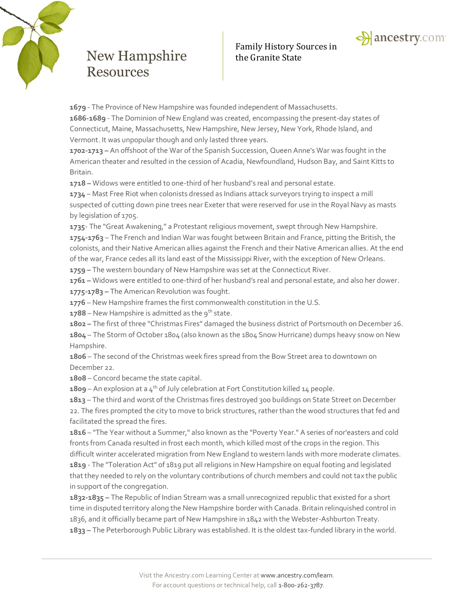

# Family History Sources in



**1679** - The Province of New Hampshire was founded independent of Massachusetts. **1686-1689** - The Dominion of New England was created, encompassing the present-day states of Connecticut, Maine, Massachusetts, New Hampshire, New Jersey, New York, Rhode Island, and Vermont. It was unpopular though and only lasted three years.

**1702-1713 –** An offshoot of the War of the Spanish Succession, Queen Anne's War was fought in the American theater and resulted in the cession of Acadia, Newfoundland, Hudson Bay, and Saint Kitts to Britain.

**1718 –** Widows were entitled to one-third of her husband's real and personal estate.

**1734** – Mast Free Riot when colonists dressed as Indians attack surveyors trying to inspect a mill suspected of cutting down pine trees near Exeter that were reserved for use in the Royal Navy as masts by legislation of 1705.

**1735**- The "Great Awakening," a Protestant religious movement, swept through New Hampshire. **1754-1763** – The French and Indian War was fought between Britain and France, pitting the British, the colonists, and their Native American allies against the French and their Native American allies. At the end of the war, France cedes all its land east of the Mississippi River, with the exception of New Orleans.

**1759 –** The western boundary of New Hampshire was set at the Connecticut River.

**1761 –** Widows were entitled to one-third of her husband's real and personal estate, and also her dower.

**1775-1783 –** The American Revolution was fought.

**1776** – New Hampshire frames the first commonwealth constitution in the U.S.

**1788** – New Hampshire is admitted as the  $9^{th}$  state.

**1802 –** The first of three "Christmas Fires" damaged the business district of Portsmouth on December 26.

**1804** – The Storm of October 1804 (also known as the 1804 Snow Hurricane) dumps heavy snow on New Hampshire.

**1806** – The second of the Christmas week fires spread from the Bow Street area to downtown on December 22.

**1808** – Concord became the state capital.

1809 – An explosion at a 4<sup>th</sup> of July celebration at Fort Constitution killed 14 people.

**1813** – The third and worst of the Christmas fires destroyed 300 buildings on State Street on December 22. The fires prompted the city to move to brick structures, rather than the wood structures that fed and facilitated the spread the fires.

**1816** – "The Year without a Summer," also known as the "Poverty Year." A series of nor'easters and cold fronts from Canada resulted in frost each month, which killed most of the crops in the region. This difficult winter accelerated migration from New England to western lands with more moderate climates. **1819** - The "Toleration Act" of 1819 put all religions in New Hampshire on equal footing and legislated that they needed to rely on the voluntary contributions of church members and could not tax the public in support of the congregation.

**1832-1835 –** The Republic of Indian Stream was a small unrecognized republic that existed for a short time in disputed territory along the New Hampshire border with Canada. Britain relinquished control in 1836, and it officially became part of New Hampshire in 1842 with the Webster-Ashburton Treaty. **1833 –** The Peterborough Public Library was established. It is the oldest tax-funded library in the world.